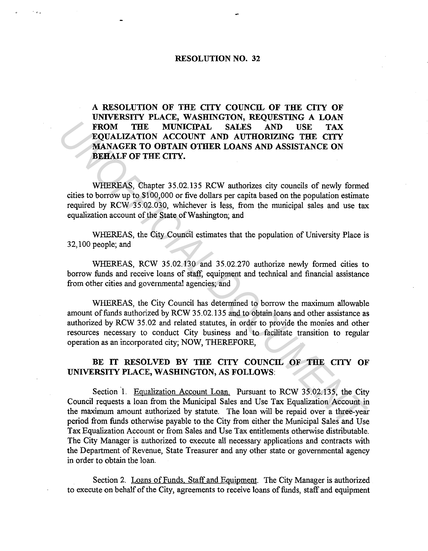## **RESOLUTION NO. 32**

**A RESOLUTION OF THE CITY COUNCIL OF THE CITY OF UNIVERSITY PLACE, WASHINGTON, REQUESTING A LOAN FROM THE MUNICIPAL SALES AND USE TAX EQUALIZATION ACCOUNT AND AUTHORIZING THE CITY MANAGER TO OBTAIN OTHER LOANS AND ASSISTANCE ON BEHALF OF THE CITY.** 

WHEREAS, Chapter 35.02.135 RCW authorizes city councils of newly formed cities to borrow up to \$100,000 or five dollars per capita based on the population estimate required by RCW 35.02.030, whichever is less, from the municipal sales and use tax equalization account of the State of Washington; and

WHEREAS, the City Council estimates that the population of University Place is 32, 100 people; and

WHEREAS, RCW 35.02.130 and 35.02.270 authorize newly formed cities to borrow funds and receive loans of staff, equipment and technical and financial assistance from other cities and governmental agencies; and

WHEREAS, the City Council has determined to borrow the maximum allowable amount of funds authorized by RCW 35.02.135 and to obtain loans and other assistance as authorized by RCW 35.02 and related statutes, in order to provide the monies and other resources necessary to conduct City business and to facilitate transition to regular operation as an incorporated city; NOW, THEREFORE, **FROM THE MUNICIPAL SALES AND USE TAX**<br> **EQUALIZATION ACCOUNT AND AUTHORIZING THE CITY**<br> **MANAGER TO OBTAIN OTHER LOANS AND ASSISTANCE ON**<br> **BEHALF OF THE CITY**.<br> **WHEREAS**, Chapter 35.02.135 RCW uthorizes city councils of

## BE IT RESOLVED BY THE CITY COUNCIL OF THE CITY OF **UNIVERSITY PLACE, WASHINGTON, AS FOLLOWS:**

Section 1. Equalization Account Loan. Pursuant to RCW 35.02.135, the City Council requests a loan from the Municipal Sales and Use Tax Equalization Account in the maximum amount authorized by statute. The loan will be repaid over a three-year period from funds otherwise payable to the City from either the Municipal Sales and Use Tax Equalization Account or from Sales and Use Tax entitlements otherwise distributable. The City Manager is authorized to execute all necessary applications and contracts with the Department of Revenue, State Treasurer and any other state or governmental agency in order to obtain the loan.

Section 2. Loans of Funds. Staff and Equipment. The City Manager is authorized to execute on behalf of the City, agreements to receive loans of funds, staff and equipment